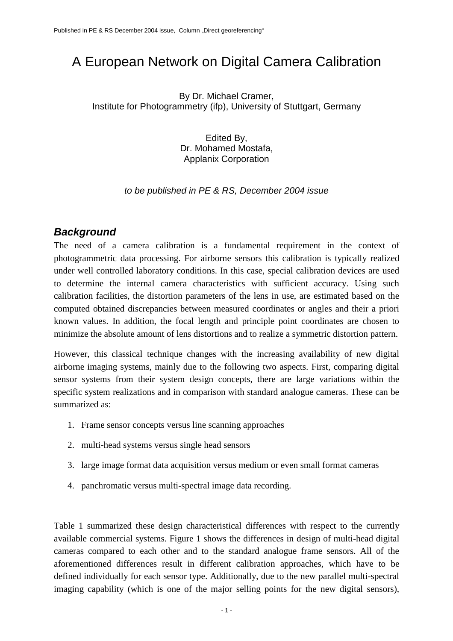# A European Network on Digital Camera Calibration

By Dr. Michael Cramer, Institute for Photogrammetry (ifp), University of Stuttgart, Germany

> Edited By, Dr. Mohamed Mostafa, Applanix Corporation

*to be published in PE & RS, December 2004 issue* 

#### *Background*

The need of a camera calibration is a fundamental requirement in the context of photogrammetric data processing. For airborne sensors this calibration is typically realized under well controlled laboratory conditions. In this case, special calibration devices are used to determine the internal camera characteristics with sufficient accuracy. Using such calibration facilities, the distortion parameters of the lens in use, are estimated based on the computed obtained discrepancies between measured coordinates or angles and their a priori known values. In addition, the focal length and principle point coordinates are chosen to minimize the absolute amount of lens distortions and to realize a symmetric distortion pattern.

However, this classical technique changes with the increasing availability of new digital airborne imaging systems, mainly due to the following two aspects. First, comparing digital sensor systems from their system design concepts, there are large variations within the specific system realizations and in comparison with standard analogue cameras. These can be summarized as:

- 1. Frame sensor concepts versus line scanning approaches
- 2. multi-head systems versus single head sensors
- 3. large image format data acquisition versus medium or even small format cameras
- 4. panchromatic versus multi-spectral image data recording.

Table 1 summarized these design characteristical differences with respect to the currently available commercial systems. Figure 1 shows the differences in design of multi-head digital cameras compared to each other and to the standard analogue frame sensors. All of the aforementioned differences result in different calibration approaches, which have to be defined individually for each sensor type. Additionally, due to the new parallel multi-spectral imaging capability (which is one of the major selling points for the new digital sensors),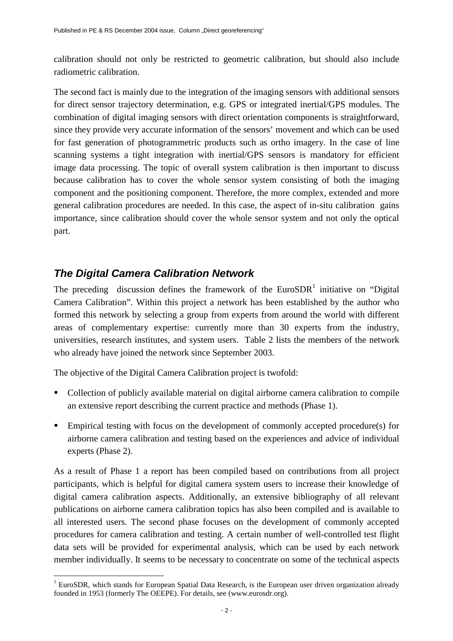calibration should not only be restricted to geometric calibration, but should also include radiometric calibration.

The second fact is mainly due to the integration of the imaging sensors with additional sensors for direct sensor trajectory determination, e.g. GPS or integrated inertial/GPS modules. The combination of digital imaging sensors with direct orientation components is straightforward, since they provide very accurate information of the sensors' movement and which can be used for fast generation of photogrammetric products such as ortho imagery. In the case of line scanning systems a tight integration with inertial/GPS sensors is mandatory for efficient image data processing. The topic of overall system calibration is then important to discuss because calibration has to cover the whole sensor system consisting of both the imaging component and the positioning component. Therefore, the more complex, extended and more general calibration procedures are needed. In this case, the aspect of in-situ calibration gains importance, since calibration should cover the whole sensor system and not only the optical part.

### *The Digital Camera Calibration Network*

 $\overline{a}$ 

The preceding discussion defines the framework of the  $EuroSDR<sup>1</sup>$  initiative on "Digital" Camera Calibration". Within this project a network has been established by the author who formed this network by selecting a group from experts from around the world with different areas of complementary expertise: currently more than 30 experts from the industry, universities, research institutes, and system users. Table 2 lists the members of the network who already have joined the network since September 2003.

The objective of the Digital Camera Calibration project is twofold:

- Collection of publicly available material on digital airborne camera calibration to compile an extensive report describing the current practice and methods (Phase 1).
- Empirical testing with focus on the development of commonly accepted procedure(s) for airborne camera calibration and testing based on the experiences and advice of individual experts (Phase 2).

As a result of Phase 1 a report has been compiled based on contributions from all project participants, which is helpful for digital camera system users to increase their knowledge of digital camera calibration aspects. Additionally, an extensive bibliography of all relevant publications on airborne camera calibration topics has also been compiled and is available to all interested users. The second phase focuses on the development of commonly accepted procedures for camera calibration and testing. A certain number of well-controlled test flight data sets will be provided for experimental analysis, which can be used by each network member individually. It seems to be necessary to concentrate on some of the technical aspects

<sup>&</sup>lt;sup>1</sup> EuroSDR, which stands for European Spatial Data Research, is the European user driven organization already founded in 1953 (formerly The OEEPE). For details, see (www.eurosdr.org).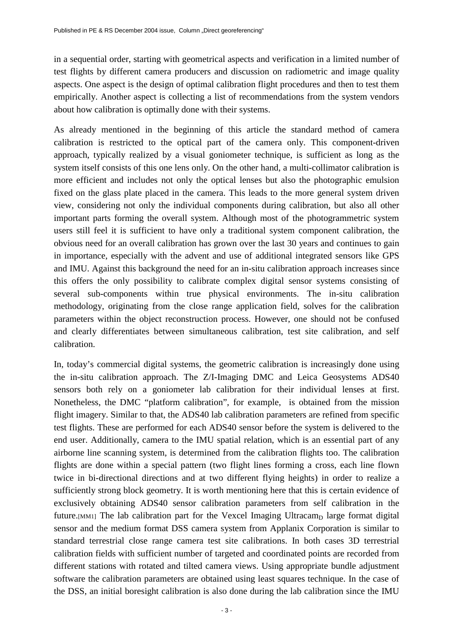in a sequential order, starting with geometrical aspects and verification in a limited number of test flights by different camera producers and discussion on radiometric and image quality aspects. One aspect is the design of optimal calibration flight procedures and then to test them empirically. Another aspect is collecting a list of recommendations from the system vendors about how calibration is optimally done with their systems.

As already mentioned in the beginning of this article the standard method of camera calibration is restricted to the optical part of the camera only. This component-driven approach, typically realized by a visual goniometer technique, is sufficient as long as the system itself consists of this one lens only. On the other hand, a multi-collimator calibration is more efficient and includes not only the optical lenses but also the photographic emulsion fixed on the glass plate placed in the camera. This leads to the more general system driven view, considering not only the individual components during calibration, but also all other important parts forming the overall system. Although most of the photogrammetric system users still feel it is sufficient to have only a traditional system component calibration, the obvious need for an overall calibration has grown over the last 30 years and continues to gain in importance, especially with the advent and use of additional integrated sensors like GPS and IMU. Against this background the need for an in-situ calibration approach increases since this offers the only possibility to calibrate complex digital sensor systems consisting of several sub-components within true physical environments. The in-situ calibration methodology, originating from the close range application field, solves for the calibration parameters within the object reconstruction process. However, one should not be confused and clearly differentiates between simultaneous calibration, test site calibration, and self calibration.

In, today's commercial digital systems, the geometric calibration is increasingly done using the in-situ calibration approach. The Z/I-Imaging DMC and Leica Geosystems ADS40 sensors both rely on a goniometer lab calibration for their individual lenses at first. Nonetheless, the DMC "platform calibration", for example, is obtained from the mission flight imagery. Similar to that, the ADS40 lab calibration parameters are refined from specific test flights. These are performed for each ADS40 sensor before the system is delivered to the end user. Additionally, camera to the IMU spatial relation, which is an essential part of any airborne line scanning system, is determined from the calibration flights too. The calibration flights are done within a special pattern (two flight lines forming a cross, each line flown twice in bi-directional directions and at two different flying heights) in order to realize a sufficiently strong block geometry. It is worth mentioning here that this is certain evidence of exclusively obtaining ADS40 sensor calibration parameters from self calibration in the future.<sup>[MM1]</sup> The lab calibration part for the Vexcel Imaging Ultracam<sub>D</sub> large format digital sensor and the medium format DSS camera system from Applanix Corporation is similar to standard terrestrial close range camera test site calibrations. In both cases 3D terrestrial calibration fields with sufficient number of targeted and coordinated points are recorded from different stations with rotated and tilted camera views. Using appropriate bundle adjustment software the calibration parameters are obtained using least squares technique. In the case of the DSS, an initial boresight calibration is also done during the lab calibration since the IMU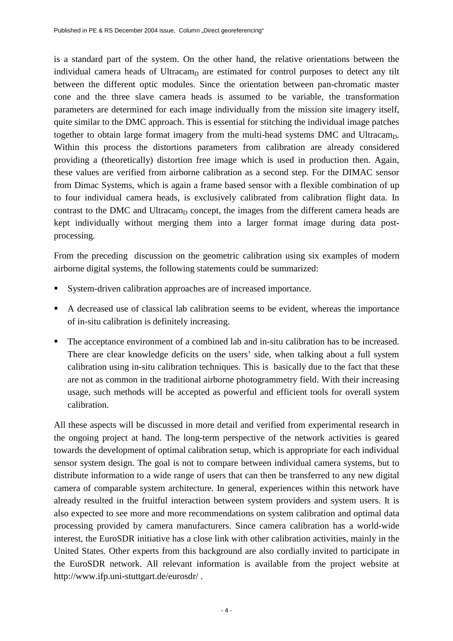is a standard part of the system. On the other hand, the relative orientations between the individual camera heads of Ultracam $<sub>D</sub>$  are estimated for control purposes to detect any tilt</sub> between the different optic modules. Since the orientation between pan-chromatic master cone and the three slave camera heads is assumed to be variable, the transformation parameters are determined for each image individually from the mission site imagery itself, quite similar to the DMC approach. This is essential for stitching the individual image patches together to obtain large format imagery from the multi-head systems DMC and Ultracam<sub>D</sub>. Within this process the distortions parameters from calibration are already considered providing a (theoretically) distortion free image which is used in production then. Again, these values are verified from airborne calibration as a second step. For the DIMAC sensor from Dimac Systems, which is again a frame based sensor with a flexible combination of up to four individual camera heads, is exclusively calibrated from calibration flight data. In contrast to the DMC and Ultracam<sub>D</sub> concept, the images from the different camera heads are kept individually without merging them into a larger format image during data postprocessing.

From the preceding discussion on the geometric calibration using six examples of modern airborne digital systems, the following statements could be summarized:

- System-driven calibration approaches are of increased importance.
- A decreased use of classical lab calibration seems to be evident, whereas the importance of in-situ calibration is definitely increasing.
- The acceptance environment of a combined lab and in-situ calibration has to be increased. There are clear knowledge deficits on the users' side, when talking about a full system calibration using in-situ calibration techniques. This is basically due to the fact that these are not as common in the traditional airborne photogrammetry field. With their increasing usage, such methods will be accepted as powerful and efficient tools for overall system calibration.

All these aspects will be discussed in more detail and verified from experimental research in the ongoing project at hand. The long-term perspective of the network activities is geared towards the development of optimal calibration setup, which is appropriate for each individual sensor system design. The goal is not to compare between individual camera systems, but to distribute information to a wide range of users that can then be transferred to any new digital camera of comparable system architecture. In general, experiences within this network have already resulted in the fruitful interaction between system providers and system users. It is also expected to see more and more recommendations on system calibration and optimal data processing provided by camera manufacturers. Since camera calibration has a world-wide interest, the EuroSDR initiative has a close link with other calibration activities, mainly in the United States. Other experts from this background are also cordially invited to participate in the EuroSDR network. All relevant information is available from the project website at http://www.ifp.uni-stuttgart.de/eurosdr/ .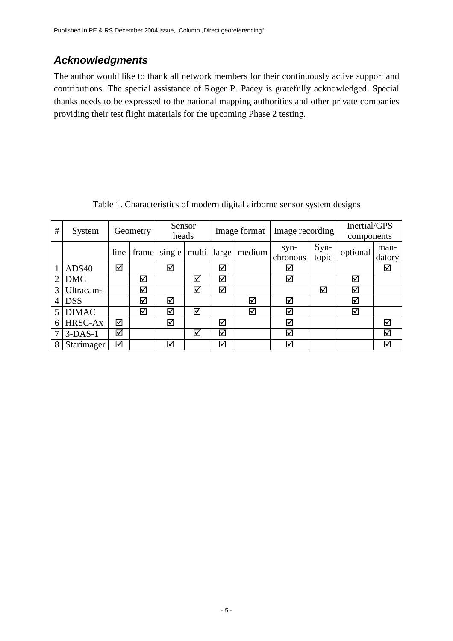## *Acknowledgments*

The author would like to thank all network members for their continuously active support and contributions. The special assistance of Roger P. Pacey is gratefully acknowledged. Special thanks needs to be expressed to the national mapping authorities and other private companies providing their test flight materials for the upcoming Phase 2 testing.

| #              | System              | Geometry |       | Sensor<br>heads |       | Image format |                      | Image recording  |               | Inertial/GPS<br>components |                |
|----------------|---------------------|----------|-------|-----------------|-------|--------------|----------------------|------------------|---------------|----------------------------|----------------|
|                |                     | line     | frame | single          | multi | large        | medium               | syn-<br>chronous | Syn-<br>topic | optional                   | man-<br>datory |
|                | ADS40               | ☑        |       | ⊠               |       | ☑            |                      | ☑                |               |                            | ☑              |
| $\overline{2}$ | <b>DMC</b>          |          | ☑     |                 | ☑     | ☑            |                      | ☑                |               | $\blacktriangledown$       |                |
| 3              | Ultracam $_{\rm D}$ |          | ☑     |                 | ⊠     | ☑            |                      |                  | ⊠             | ☑                          |                |
| 4              | <b>DSS</b>          |          | ⊠     | ☑               |       |              | ☑                    | ⊠                |               | ☑                          |                |
|                | <b>DIMAC</b>        |          | ⊠     | ☑               | ☑     |              | $\blacktriangledown$ | ☑                |               | $\blacktriangledown$       |                |
| 6              | HRSC-Ax             | ☑        |       | ☑               |       | ☑            |                      | ☑                |               |                            | ☑              |
| 7              | $3-DAS-1$           | ☑        |       |                 | ☑     | ☑            |                      | ☑                |               |                            | ☑              |
| 8              | Starimager          | ☑        |       | ☑               |       | ☑            |                      | ☑                |               |                            | ☑              |

Table 1. Characteristics of modern digital airborne sensor system designs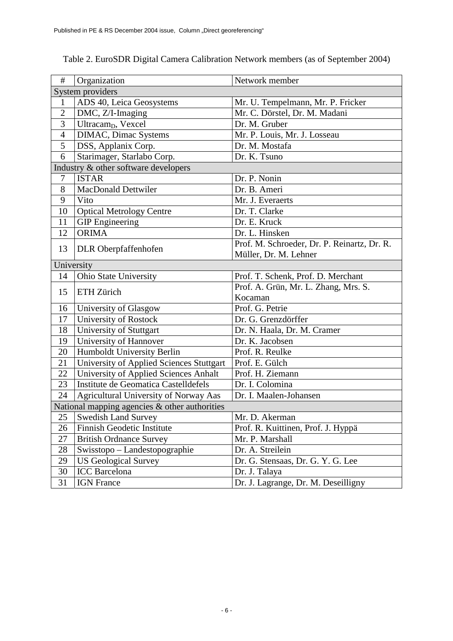| $\#$                                          | Organization                             | Network member                              |  |  |  |  |  |  |
|-----------------------------------------------|------------------------------------------|---------------------------------------------|--|--|--|--|--|--|
| System providers                              |                                          |                                             |  |  |  |  |  |  |
| 1                                             | ADS 40, Leica Geosystems                 | Mr. U. Tempelmann, Mr. P. Fricker           |  |  |  |  |  |  |
| $\overline{2}$                                | DMC, Z/I-Imaging                         | Mr. C. Dörstel, Dr. M. Madani               |  |  |  |  |  |  |
| 3                                             | Ultracam <sub>D</sub> , Vexcel           | Dr. M. Gruber                               |  |  |  |  |  |  |
| $\overline{4}$                                | <b>DIMAC</b> , Dimac Systems             | Mr. P. Louis, Mr. J. Losseau                |  |  |  |  |  |  |
| 5                                             | DSS, Applanix Corp.                      | Dr. M. Mostafa                              |  |  |  |  |  |  |
| 6                                             | Starimager, Starlabo Corp.               | Dr. K. Tsuno                                |  |  |  |  |  |  |
| Industry & other software developers          |                                          |                                             |  |  |  |  |  |  |
| 7                                             | <b>ISTAR</b>                             | Dr. P. Nonin                                |  |  |  |  |  |  |
| 8                                             | MacDonald Dettwiler                      | Dr. B. Ameri                                |  |  |  |  |  |  |
| 9                                             | Vito                                     | Mr. J. Everaerts                            |  |  |  |  |  |  |
| 10                                            | <b>Optical Metrology Centre</b>          | Dr. T. Clarke                               |  |  |  |  |  |  |
| 11                                            | <b>GIP</b> Engineering                   | Dr. E. Kruck                                |  |  |  |  |  |  |
| 12                                            | <b>ORIMA</b>                             | Dr. L. Hinsken                              |  |  |  |  |  |  |
| 13                                            |                                          | Prof. M. Schroeder, Dr. P. Reinartz, Dr. R. |  |  |  |  |  |  |
|                                               | DLR Oberpfaffenhofen                     | Müller, Dr. M. Lehner                       |  |  |  |  |  |  |
| University                                    |                                          |                                             |  |  |  |  |  |  |
| 14                                            | Ohio State University                    | Prof. T. Schenk, Prof. D. Merchant          |  |  |  |  |  |  |
| 15                                            | ETH Zürich                               | Prof. A. Grün, Mr. L. Zhang, Mrs. S.        |  |  |  |  |  |  |
|                                               |                                          | Kocaman                                     |  |  |  |  |  |  |
| 16                                            | University of Glasgow                    | Prof. G. Petrie                             |  |  |  |  |  |  |
| 17                                            | University of Rostock                    | Dr. G. Grenzdörffer                         |  |  |  |  |  |  |
| 18                                            | University of Stuttgart                  | Dr. N. Haala, Dr. M. Cramer                 |  |  |  |  |  |  |
| 19                                            | University of Hannover                   | Dr. K. Jacobsen                             |  |  |  |  |  |  |
| 20                                            | Humboldt University Berlin               | Prof. R. Reulke                             |  |  |  |  |  |  |
| 21                                            | University of Applied Sciences Stuttgart | Prof. E. Gülch                              |  |  |  |  |  |  |
| 22                                            | University of Applied Sciences Anhalt    | Prof. H. Ziemann                            |  |  |  |  |  |  |
| 23                                            | Institute de Geomatica Castelldefels     | Dr. I. Colomina                             |  |  |  |  |  |  |
| 24                                            | Agricultural University of Norway Aas    | Dr. I. Maalen-Johansen                      |  |  |  |  |  |  |
| National mapping agencies & other authorities |                                          |                                             |  |  |  |  |  |  |
| 25                                            | <b>Swedish Land Survey</b>               | Mr. D. Akerman                              |  |  |  |  |  |  |
| 26                                            | Finnish Geodetic Institute               | Prof. R. Kuittinen, Prof. J. Hyppä          |  |  |  |  |  |  |
| 27                                            | <b>British Ordnance Survey</b>           | Mr. P. Marshall                             |  |  |  |  |  |  |
| 28                                            | Swisstopo - Landestopographie            | Dr. A. Streilein                            |  |  |  |  |  |  |
| 29                                            | <b>US Geological Survey</b>              | Dr. G. Stensaas, Dr. G. Y. G. Lee           |  |  |  |  |  |  |
| 30                                            | <b>ICC</b> Barcelona                     | Dr. J. Talaya                               |  |  |  |  |  |  |
| 31                                            | <b>IGN</b> France                        | Dr. J. Lagrange, Dr. M. Deseilligny         |  |  |  |  |  |  |

#### Table 2. EuroSDR Digital Camera Calibration Network members (as of September 2004)